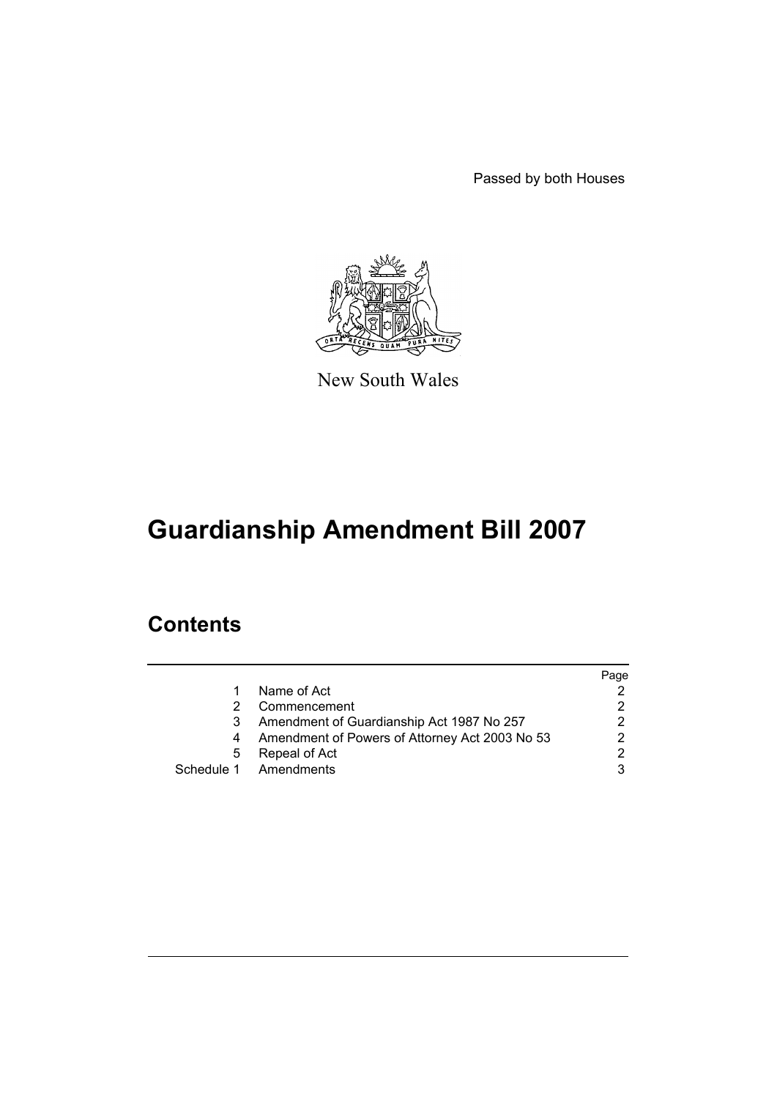Passed by both Houses



New South Wales

# **Guardianship Amendment Bill 2007**

# **Contents**

|   |                                                | Page |
|---|------------------------------------------------|------|
|   | Name of Act                                    |      |
|   | Commencement                                   | 2    |
|   | Amendment of Guardianship Act 1987 No 257      | 2    |
|   | Amendment of Powers of Attorney Act 2003 No 53 | 2    |
| 5 | Repeal of Act                                  | 2    |
|   | Schedule 1 Amendments                          | 3    |
|   |                                                |      |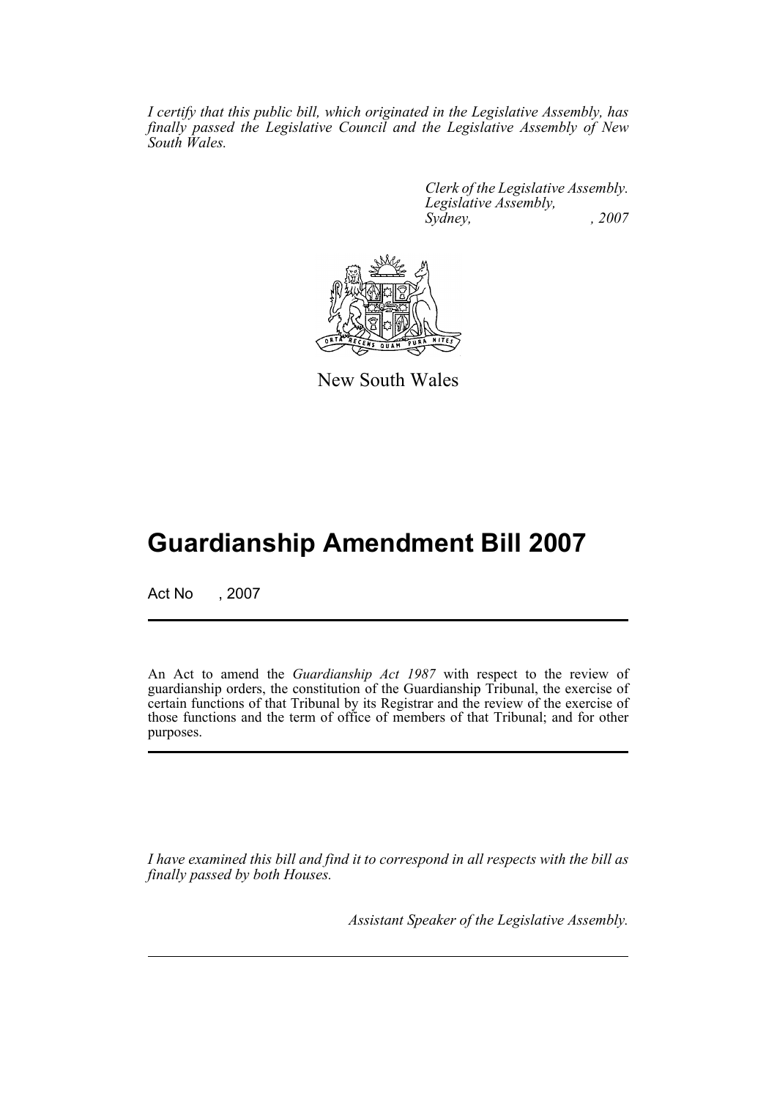*I certify that this public bill, which originated in the Legislative Assembly, has finally passed the Legislative Council and the Legislative Assembly of New South Wales.*

> *Clerk of the Legislative Assembly. Legislative Assembly, Sydney, , 2007*



New South Wales

# **Guardianship Amendment Bill 2007**

Act No , 2007

An Act to amend the *Guardianship Act 1987* with respect to the review of guardianship orders, the constitution of the Guardianship Tribunal, the exercise of certain functions of that Tribunal by its Registrar and the review of the exercise of those functions and the term of office of members of that Tribunal; and for other purposes.

*I have examined this bill and find it to correspond in all respects with the bill as finally passed by both Houses.*

*Assistant Speaker of the Legislative Assembly.*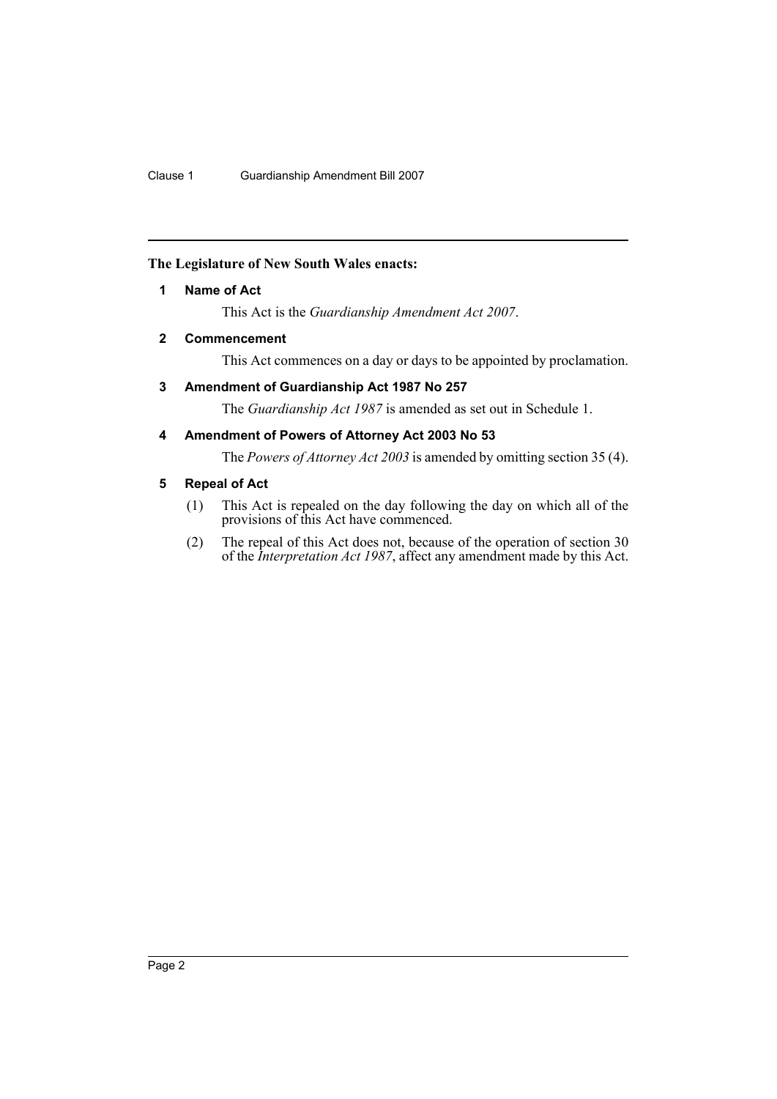## <span id="page-2-0"></span>**The Legislature of New South Wales enacts:**

## **1 Name of Act**

This Act is the *Guardianship Amendment Act 2007*.

## <span id="page-2-1"></span>**2 Commencement**

This Act commences on a day or days to be appointed by proclamation.

## <span id="page-2-2"></span>**3 Amendment of Guardianship Act 1987 No 257**

The *Guardianship Act 1987* is amended as set out in Schedule 1.

## <span id="page-2-3"></span>**4 Amendment of Powers of Attorney Act 2003 No 53**

The *Powers of Attorney Act 2003* is amended by omitting section 35 (4).

## <span id="page-2-4"></span>**5 Repeal of Act**

- (1) This Act is repealed on the day following the day on which all of the provisions of this Act have commenced.
- (2) The repeal of this Act does not, because of the operation of section 30 of the *Interpretation Act 1987*, affect any amendment made by this Act.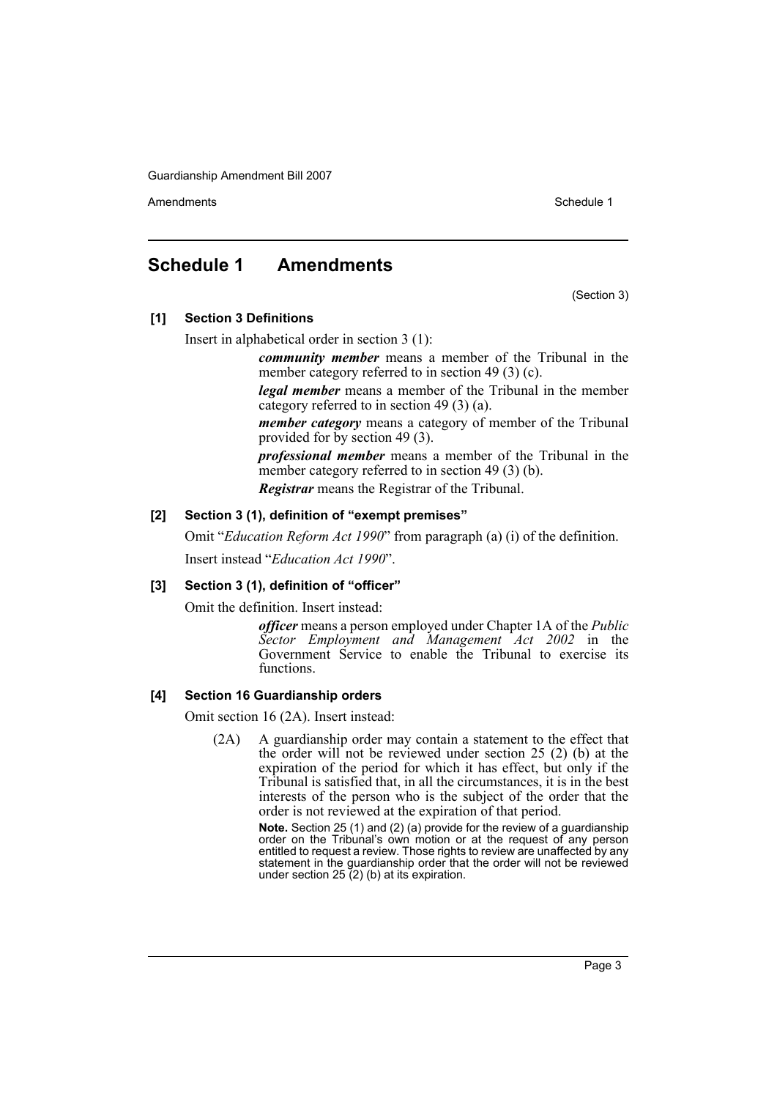Amendments **Amendments** Schedule 1

## <span id="page-3-0"></span>**Schedule 1 Amendments**

(Section 3)

**[1] Section 3 Definitions**

Insert in alphabetical order in section 3 (1):

*community member* means a member of the Tribunal in the member category referred to in section 49 (3) (c).

*legal member* means a member of the Tribunal in the member category referred to in section 49 (3) (a).

*member category* means a category of member of the Tribunal provided for by section 49 (3).

*professional member* means a member of the Tribunal in the member category referred to in section 49 (3) (b).

*Registrar* means the Registrar of the Tribunal.

### **[2] Section 3 (1), definition of "exempt premises"**

Omit "*Education Reform Act 1990*" from paragraph (a) (i) of the definition.

Insert instead "*Education Act 1990*".

#### **[3] Section 3 (1), definition of "officer"**

Omit the definition. Insert instead:

*officer* means a person employed under Chapter 1A of the *Public Sector Employment and Management Act 2002* in the Government Service to enable the Tribunal to exercise its functions.

#### **[4] Section 16 Guardianship orders**

Omit section 16 (2A). Insert instead:

(2A) A guardianship order may contain a statement to the effect that the order will not be reviewed under section 25 (2) (b) at the expiration of the period for which it has effect, but only if the Tribunal is satisfied that, in all the circumstances, it is in the best interests of the person who is the subject of the order that the order is not reviewed at the expiration of that period.

> **Note.** Section 25 (1) and (2) (a) provide for the review of a guardianship order on the Tribunal's own motion or at the request of any person entitled to request a review. Those rights to review are unaffected by any statement in the guardianship order that the order will not be reviewed under section  $25(2)$  (b) at its expiration.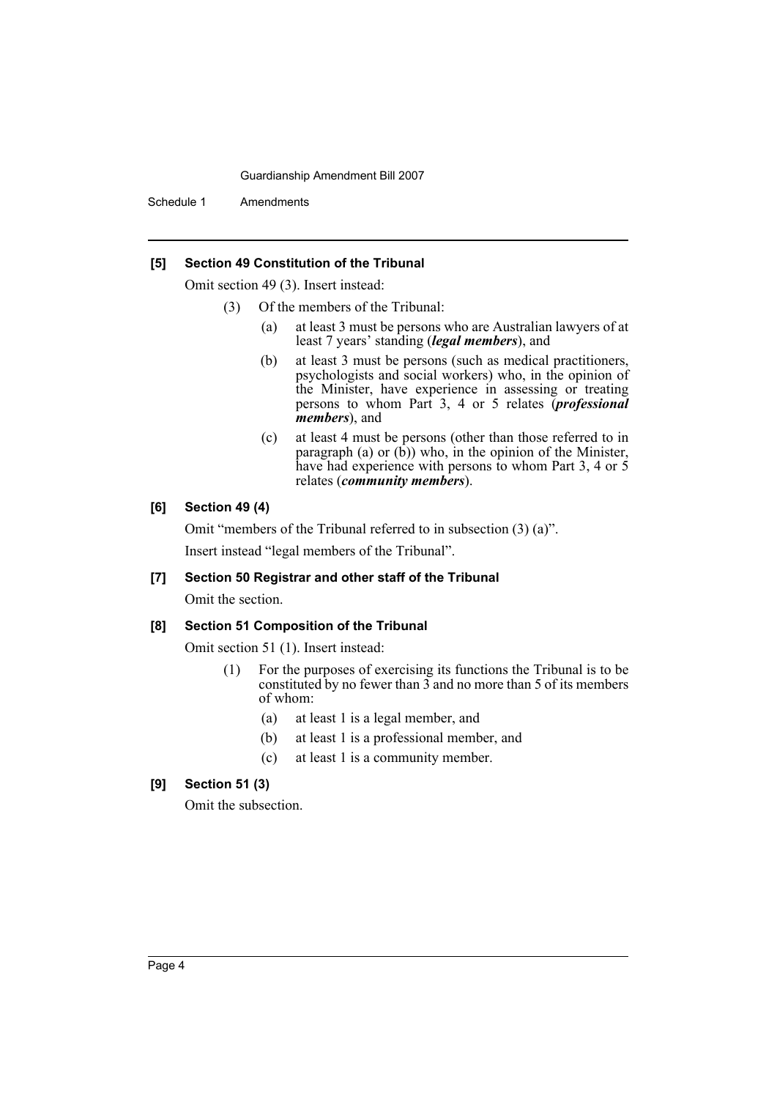Schedule 1 Amendments

#### **[5] Section 49 Constitution of the Tribunal**

Omit section 49 (3). Insert instead:

- (3) Of the members of the Tribunal:
	- (a) at least 3 must be persons who are Australian lawyers of at least 7 years' standing (*legal members*), and
	- (b) at least 3 must be persons (such as medical practitioners, psychologists and social workers) who, in the opinion of the Minister, have experience in assessing or treating persons to whom Part 3, 4 or 5 relates (*professional members*), and
	- (c) at least 4 must be persons (other than those referred to in paragraph (a) or  $(b)$ ) who, in the opinion of the Minister, have had experience with persons to whom Part 3, 4 or 5 relates (*community members*).

## **[6] Section 49 (4)**

Omit "members of the Tribunal referred to in subsection (3) (a)". Insert instead "legal members of the Tribunal".

## **[7] Section 50 Registrar and other staff of the Tribunal**

Omit the section.

#### **[8] Section 51 Composition of the Tribunal**

Omit section 51 (1). Insert instead:

- (1) For the purposes of exercising its functions the Tribunal is to be constituted by no fewer than 3 and no more than 5 of its members of whom:
	- (a) at least 1 is a legal member, and
	- (b) at least 1 is a professional member, and
	- (c) at least 1 is a community member.

## **[9] Section 51 (3)**

Omit the subsection.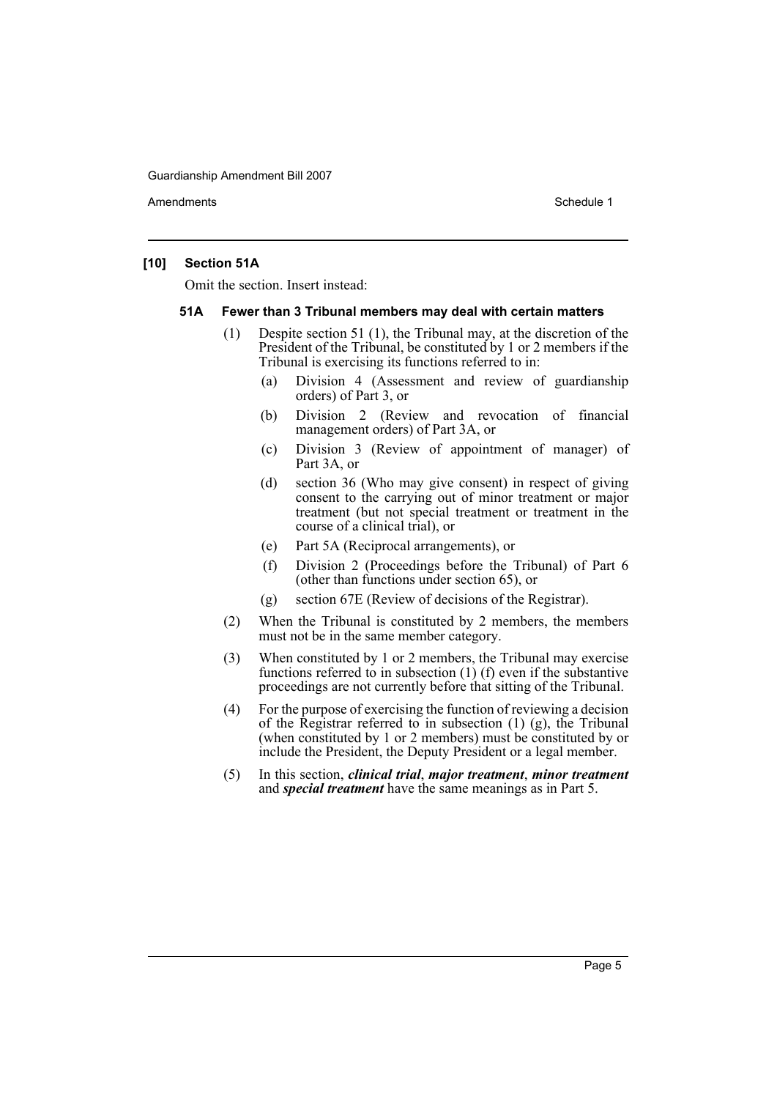Amendments **Amendments** Schedule 1

#### **[10] Section 51A**

Omit the section. Insert instead:

#### **51A Fewer than 3 Tribunal members may deal with certain matters**

- (1) Despite section 51 (1), the Tribunal may, at the discretion of the President of the Tribunal, be constituted by 1 or 2 members if the Tribunal is exercising its functions referred to in:
	- (a) Division 4 (Assessment and review of guardianship orders) of Part 3, or
	- (b) Division 2 (Review and revocation of financial management orders) of Part 3A, or
	- (c) Division 3 (Review of appointment of manager) of Part 3A, or
	- (d) section 36 (Who may give consent) in respect of giving consent to the carrying out of minor treatment or major treatment (but not special treatment or treatment in the course of a clinical trial), or
	- (e) Part 5A (Reciprocal arrangements), or
	- (f) Division 2 (Proceedings before the Tribunal) of Part 6 (other than functions under section 65), or
	- (g) section 67E (Review of decisions of the Registrar).
- (2) When the Tribunal is constituted by 2 members, the members must not be in the same member category.
- (3) When constituted by 1 or 2 members, the Tribunal may exercise functions referred to in subsection (1) (f) even if the substantive proceedings are not currently before that sitting of the Tribunal.
- (4) For the purpose of exercising the function of reviewing a decision of the Registrar referred to in subsection  $(1)$   $(g)$ , the Tribunal (when constituted by 1 or 2 members) must be constituted by or include the President, the Deputy President or a legal member.
- (5) In this section, *clinical trial*, *major treatment*, *minor treatment* and *special treatment* have the same meanings as in Part 5.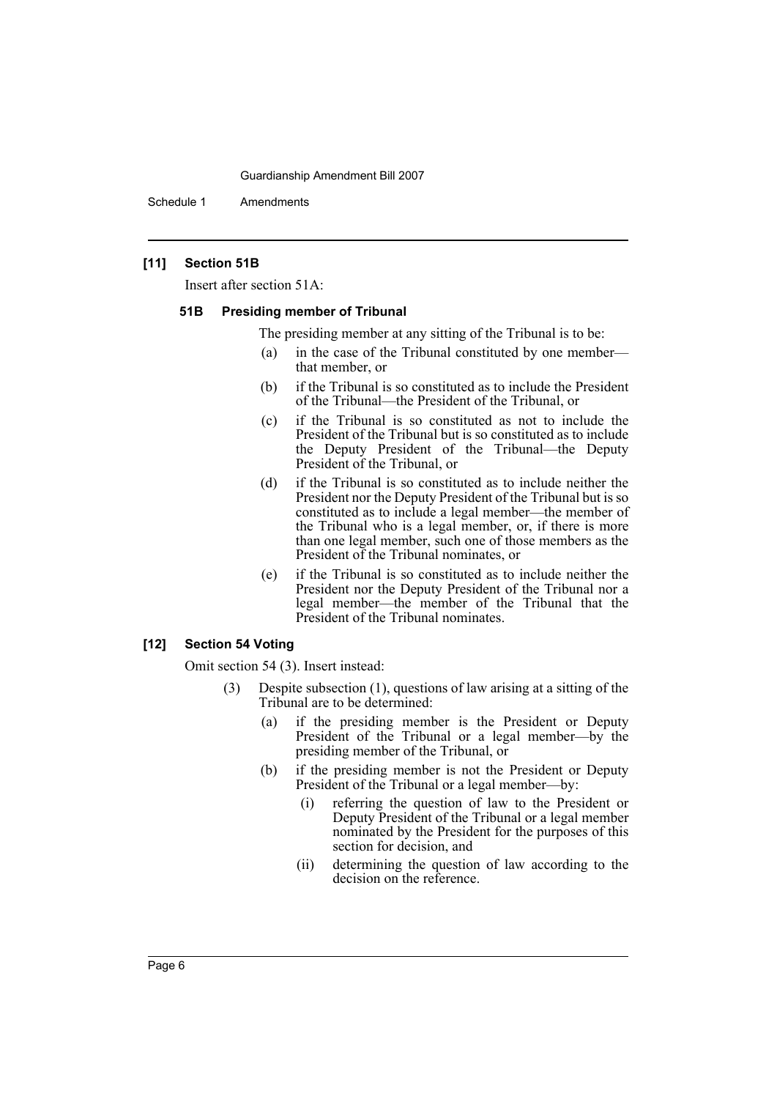Schedule 1 Amendments

## **[11] Section 51B**

Insert after section 51A:

#### **51B Presiding member of Tribunal**

The presiding member at any sitting of the Tribunal is to be:

- (a) in the case of the Tribunal constituted by one member that member, or
- (b) if the Tribunal is so constituted as to include the President of the Tribunal—the President of the Tribunal, or
- (c) if the Tribunal is so constituted as not to include the President of the Tribunal but is so constituted as to include the Deputy President of the Tribunal—the Deputy President of the Tribunal, or
- (d) if the Tribunal is so constituted as to include neither the President nor the Deputy President of the Tribunal but is so constituted as to include a legal member—the member of the Tribunal who is a legal member, or, if there is more than one legal member, such one of those members as the President of the Tribunal nominates, or
- (e) if the Tribunal is so constituted as to include neither the President nor the Deputy President of the Tribunal nor a legal member—the member of the Tribunal that the President of the Tribunal nominates.

#### **[12] Section 54 Voting**

Omit section 54 (3). Insert instead:

- (3) Despite subsection (1), questions of law arising at a sitting of the Tribunal are to be determined:
	- (a) if the presiding member is the President or Deputy President of the Tribunal or a legal member—by the presiding member of the Tribunal, or
	- (b) if the presiding member is not the President or Deputy President of the Tribunal or a legal member—by:
		- (i) referring the question of law to the President or Deputy President of the Tribunal or a legal member nominated by the President for the purposes of this section for decision, and
		- (ii) determining the question of law according to the decision on the reference.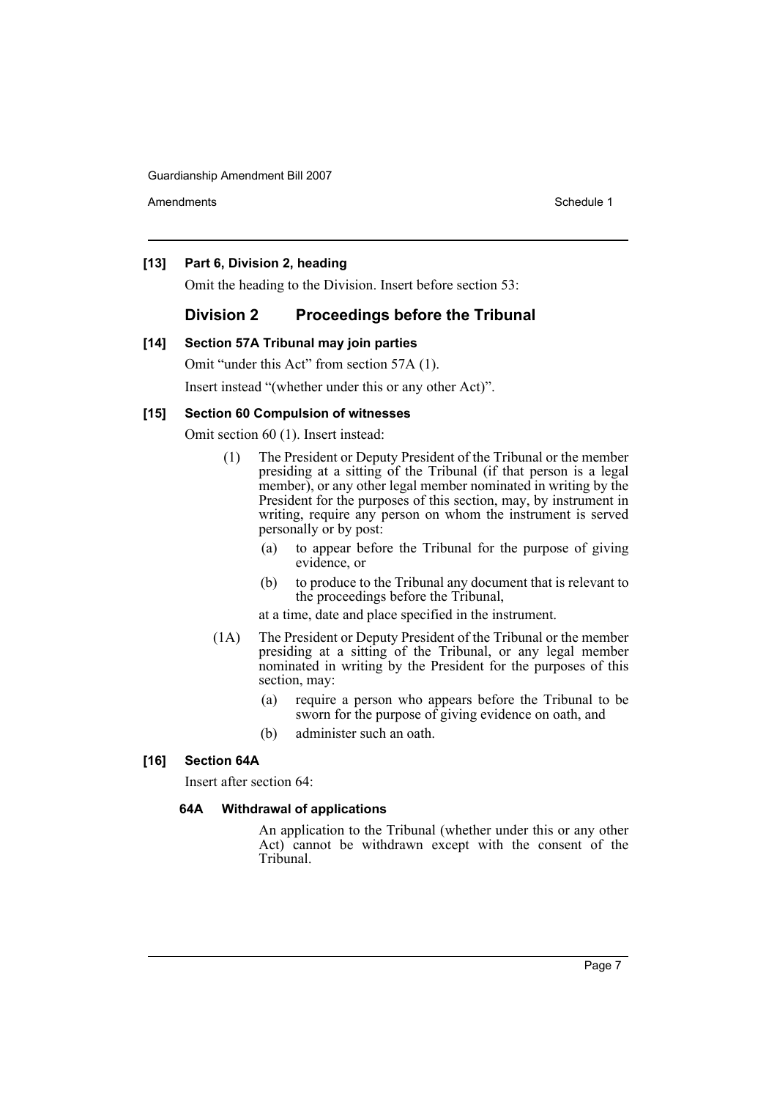Amendments **Schedule 1** and the set of the set of the set of the set of the set of the set of the set of the set of the set of the set of the set of the set of the set of the set of the set of the set of the set of the set

### **[13] Part 6, Division 2, heading**

Omit the heading to the Division. Insert before section 53:

## **Division 2 Proceedings before the Tribunal**

#### **[14] Section 57A Tribunal may join parties**

Omit "under this Act" from section 57A (1).

Insert instead "(whether under this or any other Act)".

### **[15] Section 60 Compulsion of witnesses**

Omit section 60 (1). Insert instead:

- (1) The President or Deputy President of the Tribunal or the member presiding at a sitting of the Tribunal (if that person is a legal member), or any other legal member nominated in writing by the President for the purposes of this section, may, by instrument in writing, require any person on whom the instrument is served personally or by post:
	- (a) to appear before the Tribunal for the purpose of giving evidence, or
	- (b) to produce to the Tribunal any document that is relevant to the proceedings before the Tribunal,
	- at a time, date and place specified in the instrument.
- (1A) The President or Deputy President of the Tribunal or the member presiding at a sitting of the Tribunal, or any legal member nominated in writing by the President for the purposes of this section, may:
	- (a) require a person who appears before the Tribunal to be sworn for the purpose of giving evidence on oath, and
	- (b) administer such an oath.

## **[16] Section 64A**

Insert after section 64:

#### **64A Withdrawal of applications**

An application to the Tribunal (whether under this or any other Act) cannot be withdrawn except with the consent of the Tribunal.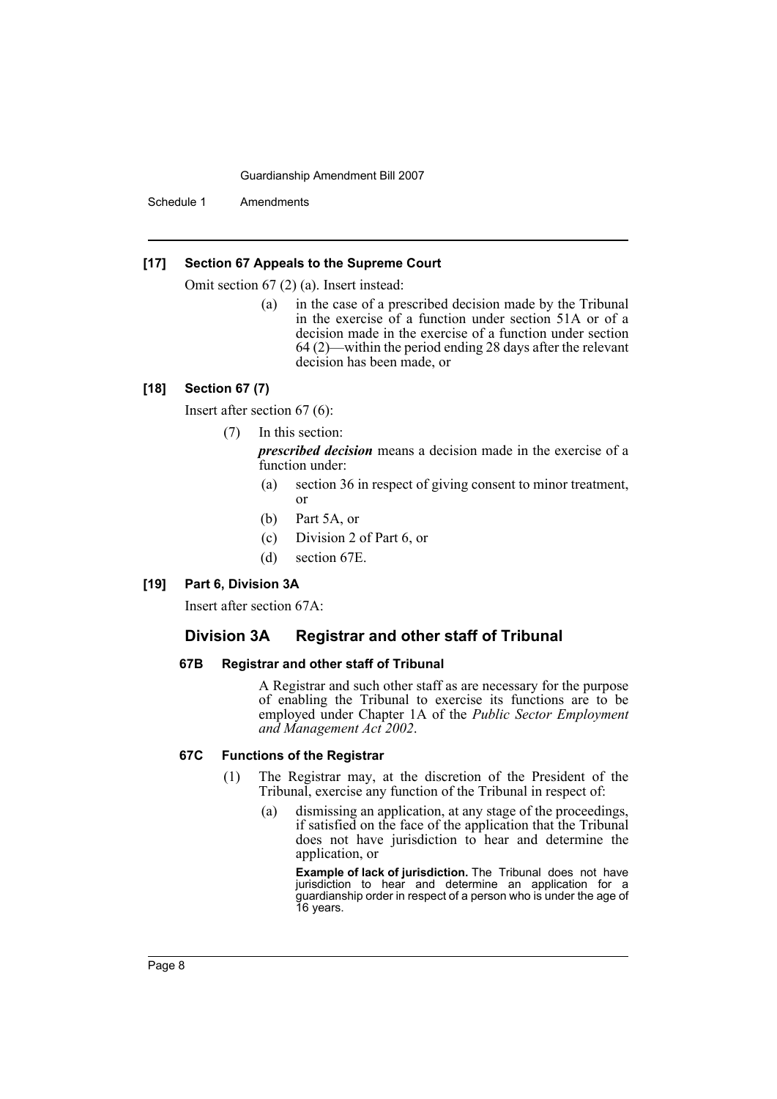Schedule 1 Amendments

#### **[17] Section 67 Appeals to the Supreme Court**

Omit section 67 (2) (a). Insert instead:

(a) in the case of a prescribed decision made by the Tribunal in the exercise of a function under section 51A or of a decision made in the exercise of a function under section 64 (2)—within the period ending 28 days after the relevant decision has been made, or

## **[18] Section 67 (7)**

Insert after section 67 (6):

#### (7) In this section:

*prescribed decision* means a decision made in the exercise of a function under:

- (a) section 36 in respect of giving consent to minor treatment, or
- (b) Part 5A, or
- (c) Division 2 of Part 6, or
- (d) section 67E.

#### **[19] Part 6, Division 3A**

Insert after section 67A:

## **Division 3A Registrar and other staff of Tribunal**

### **67B Registrar and other staff of Tribunal**

A Registrar and such other staff as are necessary for the purpose of enabling the Tribunal to exercise its functions are to be employed under Chapter 1A of the *Public Sector Employment and Management Act 2002*.

#### **67C Functions of the Registrar**

- (1) The Registrar may, at the discretion of the President of the Tribunal, exercise any function of the Tribunal in respect of:
	- (a) dismissing an application, at any stage of the proceedings, if satisfied on the face of the application that the Tribunal does not have jurisdiction to hear and determine the application, or

**Example of lack of jurisdiction.** The Tribunal does not have jurisdiction to hear and determine an application for a guardianship order in respect of a person who is under the age of 16 years.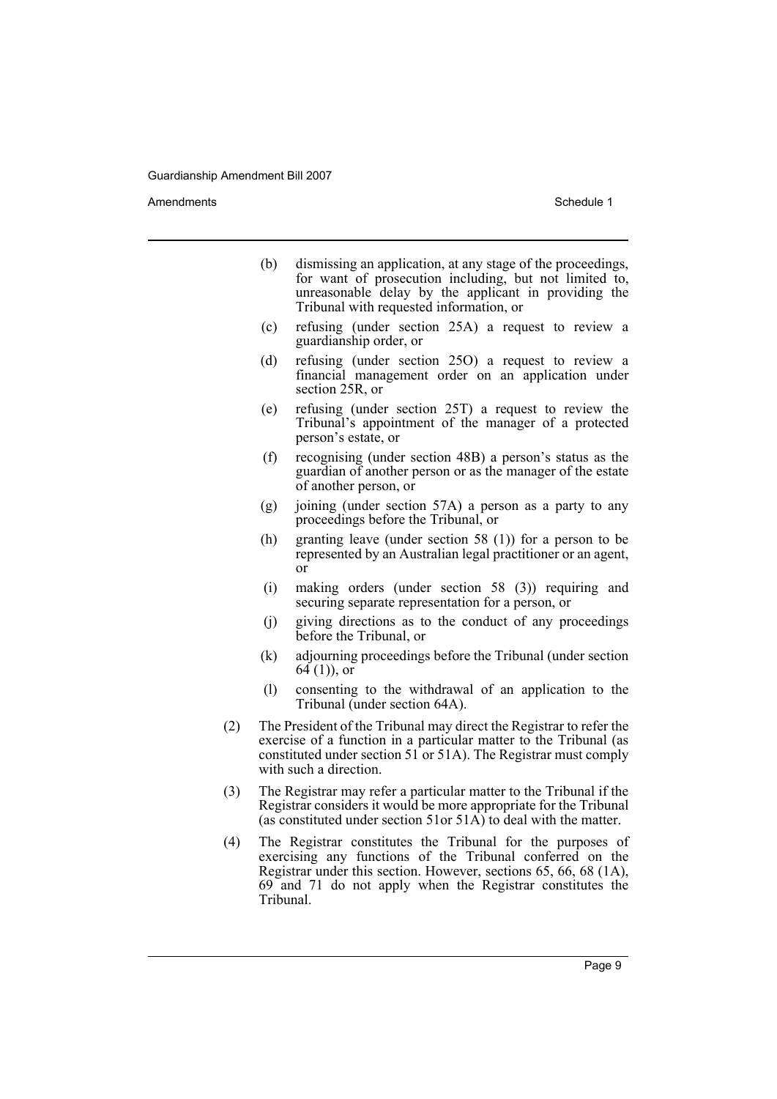Amendments **Amendments** Schedule 1

- (b) dismissing an application, at any stage of the proceedings, for want of prosecution including, but not limited to, unreasonable delay by the applicant in providing the Tribunal with requested information, or
- (c) refusing (under section 25A) a request to review a guardianship order, or
- (d) refusing (under section 25O) a request to review a financial management order on an application under section 25R, or
- (e) refusing (under section 25T) a request to review the Tribunal's appointment of the manager of a protected person's estate, or
- (f) recognising (under section 48B) a person's status as the guardian of another person or as the manager of the estate of another person, or
- (g) joining (under section 57A) a person as a party to any proceedings before the Tribunal, or
- (h) granting leave (under section 58 (1)) for a person to be represented by an Australian legal practitioner or an agent, or
- (i) making orders (under section 58 (3)) requiring and securing separate representation for a person, or
- (j) giving directions as to the conduct of any proceedings before the Tribunal, or
- (k) adjourning proceedings before the Tribunal (under section  $64(1)$ , or
- (l) consenting to the withdrawal of an application to the Tribunal (under section 64A).
- (2) The President of the Tribunal may direct the Registrar to refer the exercise of a function in a particular matter to the Tribunal (as constituted under section 51 or 51A). The Registrar must comply with such a direction.
- (3) The Registrar may refer a particular matter to the Tribunal if the Registrar considers it would be more appropriate for the Tribunal (as constituted under section 51or 51 $\widehat{A}$ ) to deal with the matter.
- (4) The Registrar constitutes the Tribunal for the purposes of exercising any functions of the Tribunal conferred on the Registrar under this section. However, sections 65, 66, 68 (1A), 69 and 71 do not apply when the Registrar constitutes the Tribunal.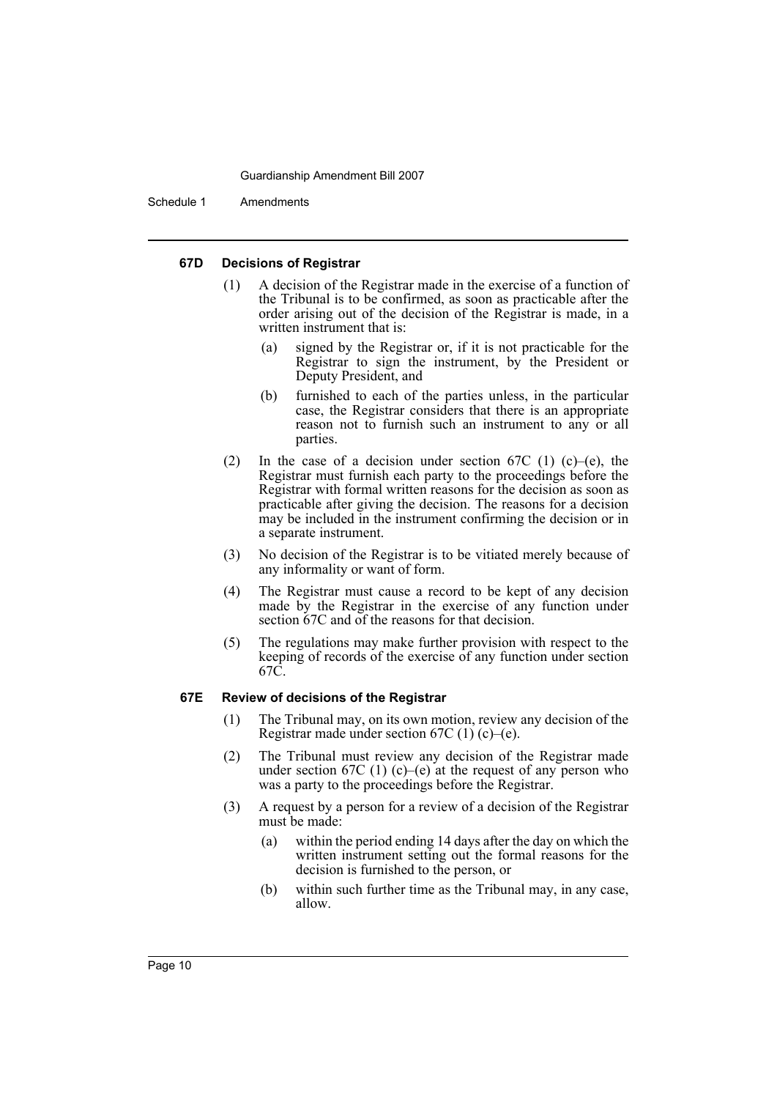Schedule 1 Amendments

#### **67D Decisions of Registrar**

- (1) A decision of the Registrar made in the exercise of a function of the Tribunal is to be confirmed, as soon as practicable after the order arising out of the decision of the Registrar is made, in a written instrument that is:
	- (a) signed by the Registrar or, if it is not practicable for the Registrar to sign the instrument, by the President or Deputy President, and
	- (b) furnished to each of the parties unless, in the particular case, the Registrar considers that there is an appropriate reason not to furnish such an instrument to any or all parties.
- (2) In the case of a decision under section 67C (1) (c)–(e), the Registrar must furnish each party to the proceedings before the Registrar with formal written reasons for the decision as soon as practicable after giving the decision. The reasons for a decision may be included in the instrument confirming the decision or in a separate instrument.
- (3) No decision of the Registrar is to be vitiated merely because of any informality or want of form.
- (4) The Registrar must cause a record to be kept of any decision made by the Registrar in the exercise of any function under section 67C and of the reasons for that decision.
- (5) The regulations may make further provision with respect to the keeping of records of the exercise of any function under section 67C.

#### **67E Review of decisions of the Registrar**

- (1) The Tribunal may, on its own motion, review any decision of the Registrar made under section  $67C(1)(c)$ –(e).
- (2) The Tribunal must review any decision of the Registrar made under section 67C (1) (c)–(e) at the request of any person who was a party to the proceedings before the Registrar.
- (3) A request by a person for a review of a decision of the Registrar must be made:
	- (a) within the period ending 14 days after the day on which the written instrument setting out the formal reasons for the decision is furnished to the person, or
	- (b) within such further time as the Tribunal may, in any case, allow.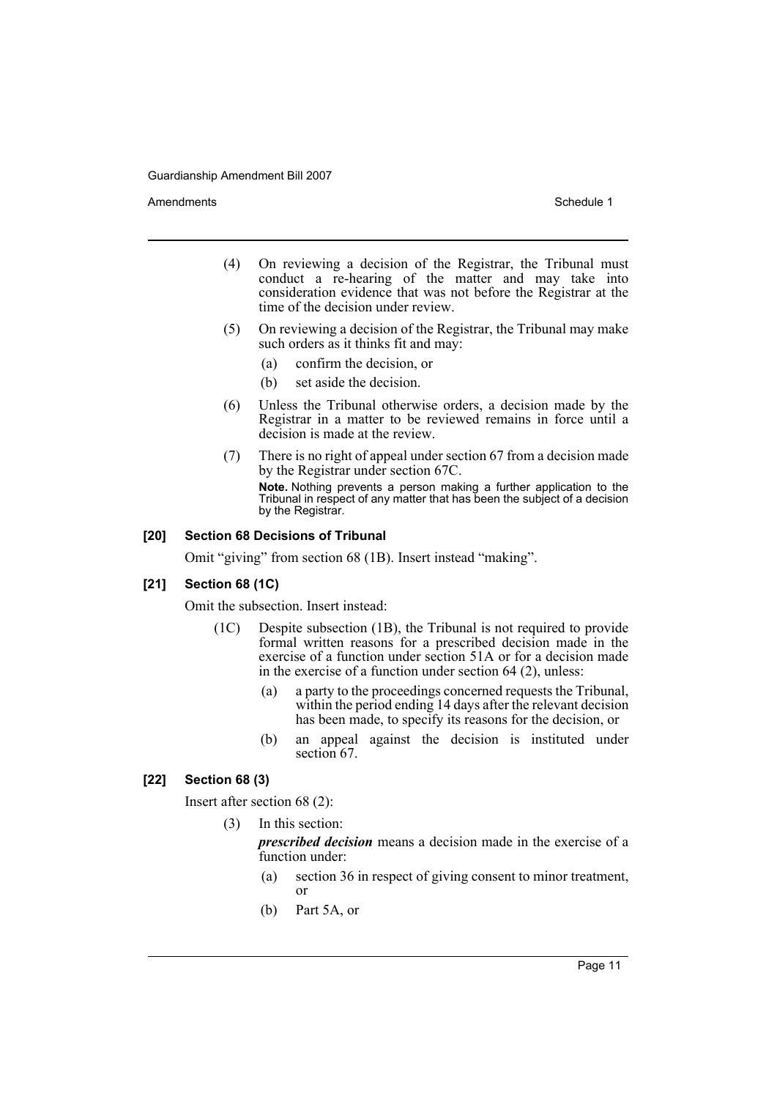Amendments **Amendments** Schedule 1

- (4) On reviewing a decision of the Registrar, the Tribunal must conduct a re-hearing of the matter and may take into consideration evidence that was not before the Registrar at the time of the decision under review.
- (5) On reviewing a decision of the Registrar, the Tribunal may make such orders as it thinks fit and may:
	- (a) confirm the decision, or
	- (b) set aside the decision.
- (6) Unless the Tribunal otherwise orders, a decision made by the Registrar in a matter to be reviewed remains in force until a decision is made at the review.
- (7) There is no right of appeal under section 67 from a decision made by the Registrar under section 67C. **Note.** Nothing prevents a person making a further application to the Tribunal in respect of any matter that has been the subject of a decision by the Registrar.

## **[20] Section 68 Decisions of Tribunal**

Omit "giving" from section 68 (1B). Insert instead "making".

#### **[21] Section 68 (1C)**

Omit the subsection. Insert instead:

- (1C) Despite subsection (1B), the Tribunal is not required to provide formal written reasons for a prescribed decision made in the exercise of a function under section 51A or for a decision made in the exercise of a function under section 64 (2), unless:
	- (a) a party to the proceedings concerned requests the Tribunal, within the period ending 14 days after the relevant decision has been made, to specify its reasons for the decision, or
	- (b) an appeal against the decision is instituted under section 67.

## **[22] Section 68 (3)**

Insert after section 68 (2):

(3) In this section:

*prescribed decision* means a decision made in the exercise of a function under:

- (a) section 36 in respect of giving consent to minor treatment, or
- (b) Part 5A, or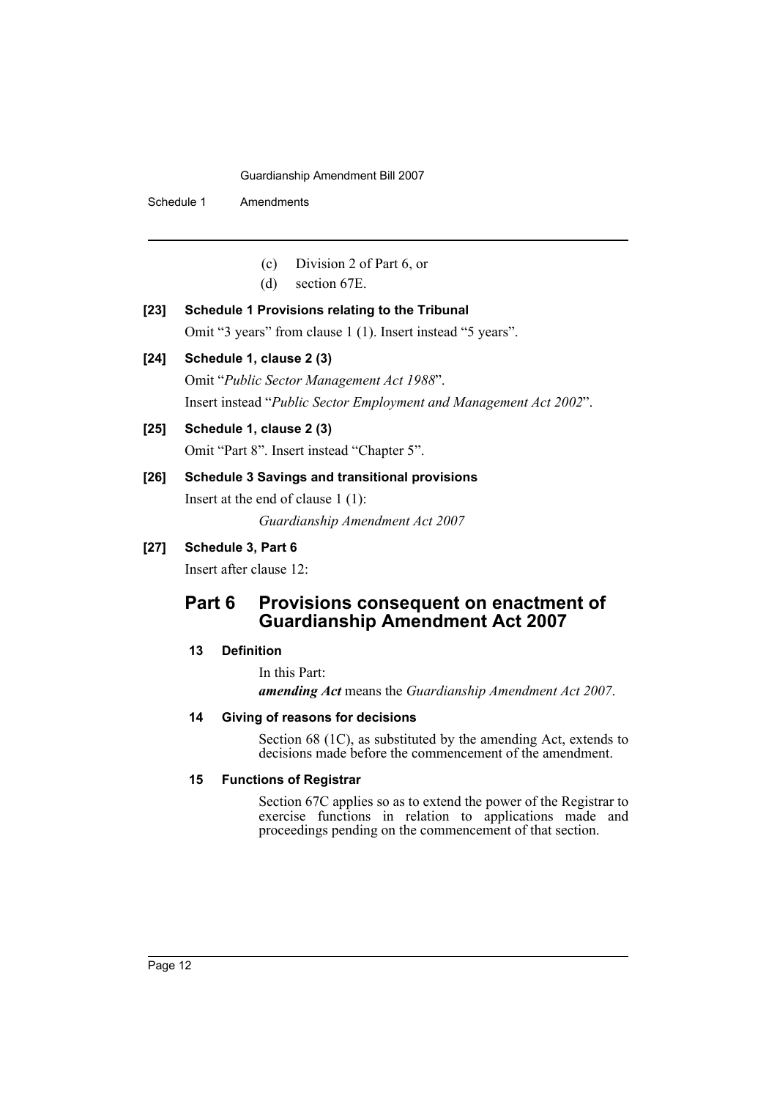Schedule 1 Amendments

- (c) Division 2 of Part 6, or
- (d) section 67E.

#### **[23] Schedule 1 Provisions relating to the Tribunal**

Omit "3 years" from clause 1 (1). Insert instead "5 years".

### **[24] Schedule 1, clause 2 (3)**

Omit "*Public Sector Management Act 1988*". Insert instead "*Public Sector Employment and Management Act 2002*".

## **[25] Schedule 1, clause 2 (3)**

Omit "Part 8". Insert instead "Chapter 5".

## **[26] Schedule 3 Savings and transitional provisions**

Insert at the end of clause 1 (1): *Guardianship Amendment Act 2007*

## **[27] Schedule 3, Part 6**

Insert after clause 12:

## **Part 6 Provisions consequent on enactment of Guardianship Amendment Act 2007**

## **13 Definition**

In this Part:

*amending Act* means the *Guardianship Amendment Act 2007*.

#### **14 Giving of reasons for decisions**

Section 68 (1C), as substituted by the amending Act, extends to decisions made before the commencement of the amendment.

#### **15 Functions of Registrar**

Section 67C applies so as to extend the power of the Registrar to exercise functions in relation to applications made and proceedings pending on the commencement of that section.